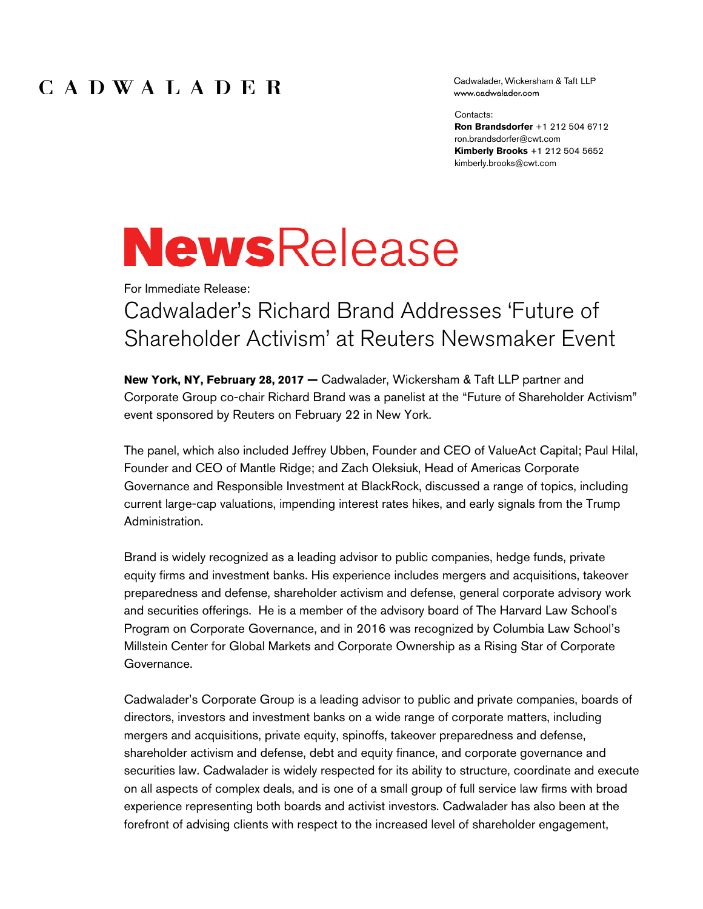### CADWALADER

Cadwalader, Wickersham & Taft LLP www.cadwalader.com

Contacts:

**Ron Brandsdorfer** +1 212 504 6712 ron.brandsdorfer@cwt.com **Kimberly Brooks** +1 212 504 5652 kimberly.brooks@cwt.com

# **NewsRelease**

For Immediate Release:

# Cadwalader's Richard Brand Addresses 'Future of Shareholder Activism' at Reuters Newsmaker Event

**New York, NY, February 28, 2017 —** Cadwalader, Wickersham & Taft LLP partner and Corporate Group co-chair Richard Brand was a panelist at the "Future of Shareholder Activism" event sponsored by Reuters on February 22 in New York.

The panel, which also included Jeffrey Ubben, Founder and CEO of ValueAct Capital; Paul Hilal, Founder and CEO of Mantle Ridge; and Zach Oleksiuk, Head of Americas Corporate Governance and Responsible Investment at BlackRock, discussed a range of topics, including current large-cap valuations, impending interest rates hikes, and early signals from the Trump Administration.

Brand is widely recognized as a leading advisor to public companies, hedge funds, private equity firms and investment banks. His experience includes mergers and acquisitions, takeover preparedness and defense, shareholder activism and defense, general corporate advisory work and securities offerings. He is a member of the advisory board of The Harvard Law School's Program on Corporate Governance, and in 2016 was recognized by Columbia Law School's Millstein Center for Global Markets and Corporate Ownership as a Rising Star of Corporate Governance.

Cadwalader's Corporate Group is a leading advisor to public and private companies, boards of directors, investors and investment banks on a wide range of corporate matters, including mergers and acquisitions, private equity, spinoffs, takeover preparedness and defense, shareholder activism and defense, debt and equity finance, and corporate governance and securities law. Cadwalader is widely respected for its ability to structure, coordinate and execute on all aspects of complex deals, and is one of a small group of full service law firms with broad experience representing both boards and activist investors. Cadwalader has also been at the forefront of advising clients with respect to the increased level of shareholder engagement,